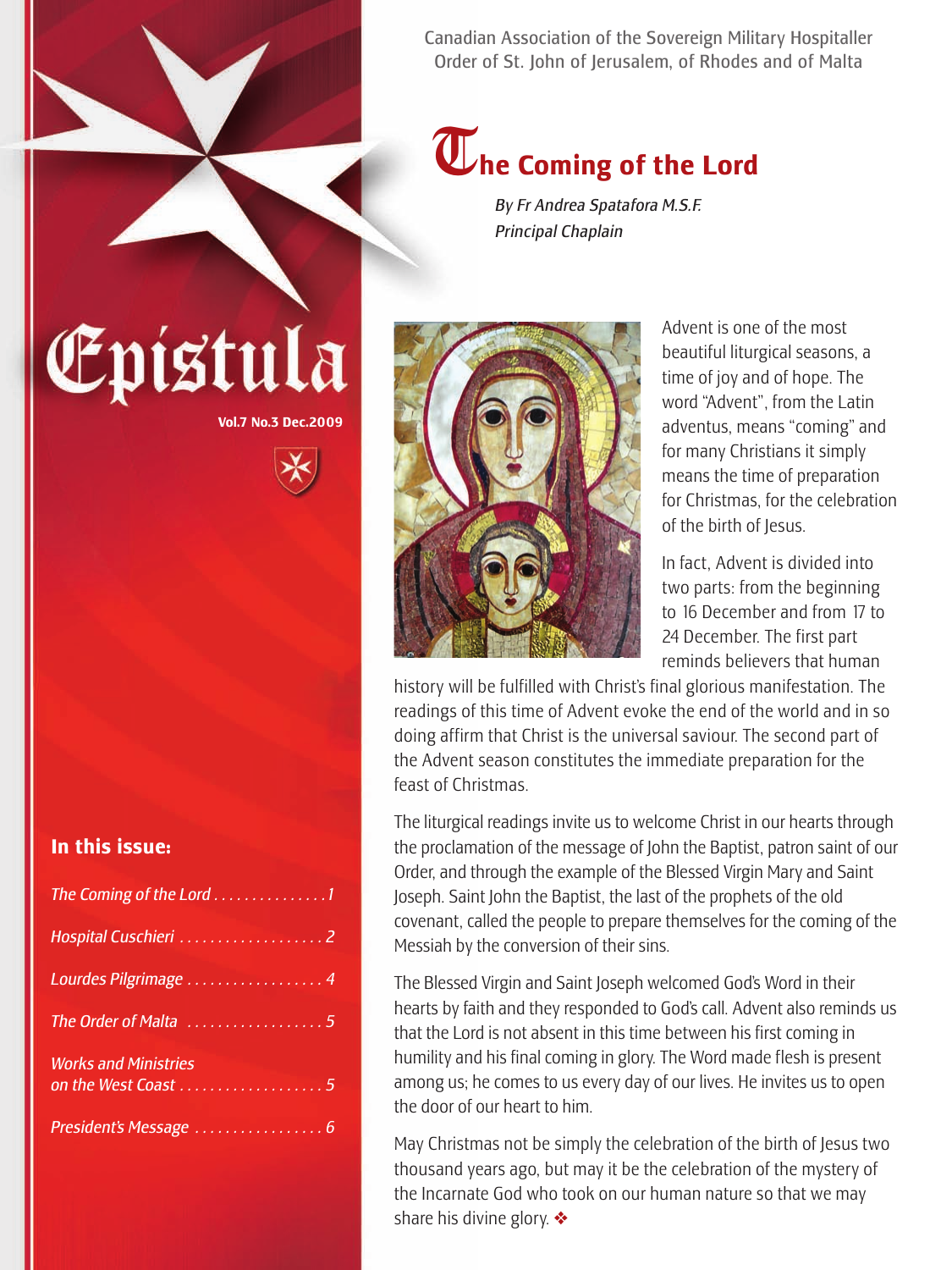Canadian Association of the Sovereign Military Hospitaller Order of St. John of Jerusalem, of Rhodes and of Malta

## T**he Coming of the Lord**

*By Fr Andrea Spatafora M.S.F. Principal Chaplain*

Epistula

**Vol.7 No.3 Dec.2009**

#### **In this issue:**

| <b>Works and Ministries</b> |
|-----------------------------|
|                             |



Advent is one of the most beautiful liturgical seasons, a time of joy and of hope. The word "Advent", from the Latin adventus, means "coming" and for many Christians it simply means the time of preparation for Christmas, for the celebration of the birth of Jesus.

In fact, Advent is divided into two parts: from the beginning to 16 December and from 17 to 24 December. The first part reminds believers that human

history will be fulfilled with Christ's final glorious manifestation. The readings of this time of Advent evoke the end of the world and in so doing affirm that Christ is the universal saviour. The second part of the Advent season constitutes the immediate preparation for the feast of Christmas.

The liturgical readings invite us to welcome Christ in our hearts through the proclamation of the message of John the Baptist, patron saint of our Order, and through the example of the Blessed Virgin Mary and Saint Joseph. Saint John the Baptist, the last of the prophets of the old covenant, called the people to prepare themselves for the coming of the Messiah by the conversion of their sins.

The Blessed Virgin and Saint Joseph welcomed God's Word in their hearts by faith and they responded to God's call. Advent also reminds us that the Lord is not absent in this time between his first coming in humility and his final coming in glory. The Word made flesh is present among us; he comes to us every day of our lives. He invites us to open the door of our heart to him.

May Christmas not be simply the celebration of the birth of Jesus two thousand years ago, but may it be the celebration of the mystery of the Incarnate God who took on our human nature so that we may share his divine glory. ❖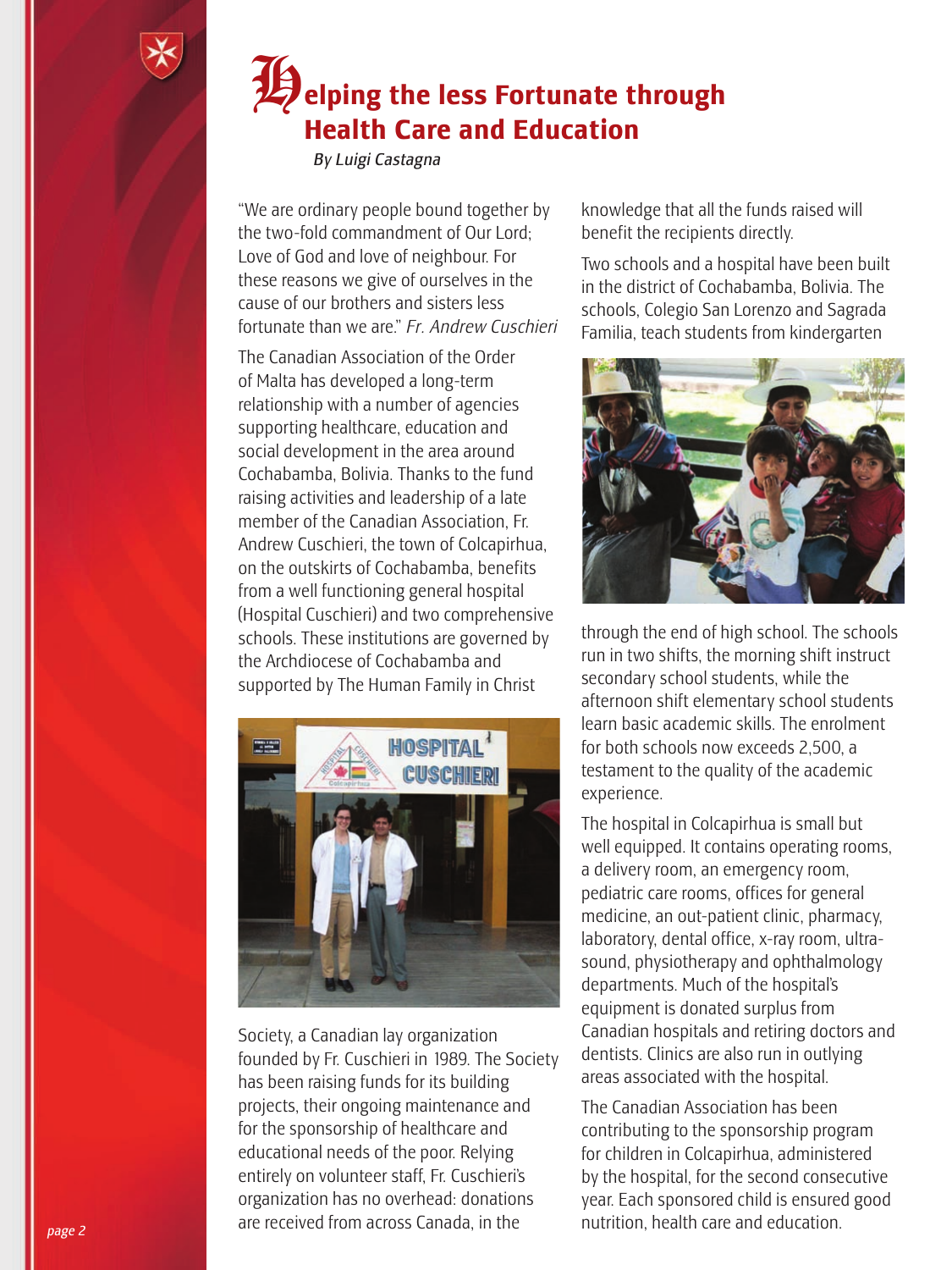

*By Luigi Castagna*

"We are ordinary people bound together by the two-fold commandment of Our Lord; Love of God and love of neighbour. For these reasons we give of ourselves in the cause of our brothers and sisters less fortunate than we are." Fr. Andrew Cuschieri

The Canadian Association of the Order of Malta has developed a long-term relationship with a number of agencies supporting healthcare, education and social development in the area around Cochabamba, Bolivia. Thanks to the fund raising activities and leadership of a late member of the Canadian Association, Fr. Andrew Cuschieri, the town of Colcapirhua, on the outskirts of Cochabamba, benefits from a well functioning general hospital (Hospital Cuschieri) and two comprehensive schools. These institutions are governed by the Archdiocese of Cochabamba and supported by The Human Family in Christ



Society, a Canadian lay organization founded by Fr. Cuschieri in 1989. The Society has been raising funds for its building projects, their ongoing maintenance and for the sponsorship of healthcare and educational needs of the poor. Relying entirely on volunteer staff, Fr. Cuschieri's organization has no overhead: donations are received from across Canada, in the

knowledge that all the funds raised will benefit the recipients directly.

Two schools and a hospital have been built in the district of Cochabamba, Bolivia. The schools, Colegio San Lorenzo and Sagrada Familia, teach students from kindergarten



through the end of high school. The schools run in two shifts, the morning shift instruct secondary school students, while the afternoon shift elementary school students learn basic academic skills. The enrolment for both schools now exceeds 2,500, a testament to the quality of the academic experience.

The hospital in Colcapirhua is small but well equipped. It contains operating rooms, a delivery room, an emergency room, pediatric care rooms, offices for general medicine, an out-patient clinic, pharmacy, laboratory, dental office, x-ray room, ultrasound, physiotherapy and ophthalmology departments. Much of the hospital's equipment is donated surplus from Canadian hospitals and retiring doctors and dentists. Clinics are also run in outlying areas associated with the hospital.

The Canadian Association has been contributing to the sponsorship program for children in Colcapirhua, administered by the hospital, for the second consecutive year. Each sponsored child is ensured good nutrition, health care and education.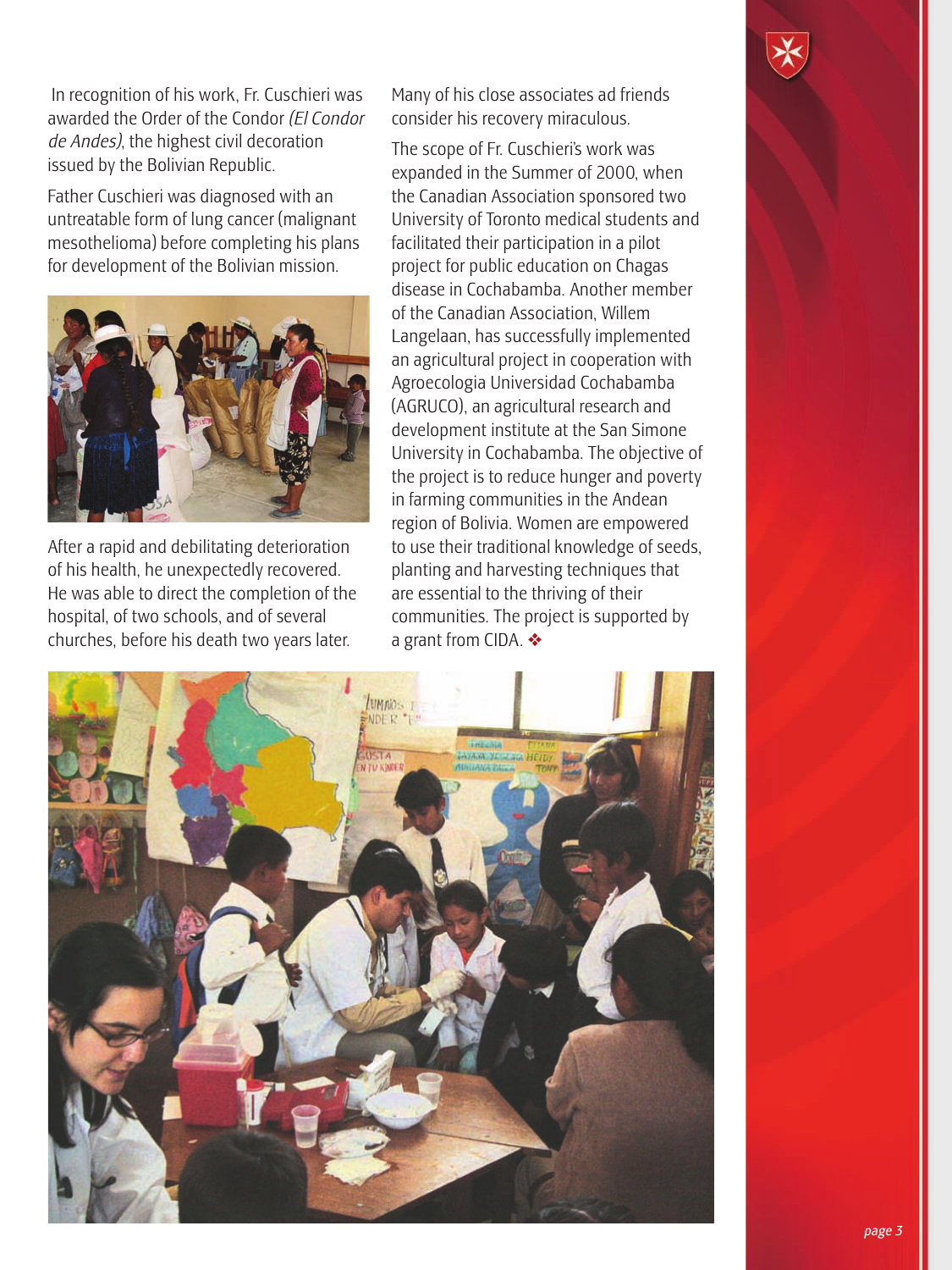In recognition of his work, Fr. Cuschieri was awarded the Order of the Condor (El Condor de Andes), the highest civil decoration issued by the Bolivian Republic.

Father Cuschieri was diagnosed with an untreatable form of lung cancer (malignant mesothelioma) before completing his plans for development of the Bolivian mission.



After a rapid and debilitating deterioration of his health, he unexpectedly recovered. He was able to direct the completion of the hospital, of two schools, and of several churches, before his death two years later.

Many of his close associates ad friends consider his recovery miraculous.

The scope of Fr. Cuschieri's work was expanded in the Summer of 2000, when the Canadian Association sponsored two University of Toronto medical students and facilitated their participation in a pilot project for public education on Chagas disease in Cochabamba. Another member of the Canadian Association, Willem Langelaan, has successfully implemented an agricultural project in cooperation with Agroecologia Universidad Cochabamba (AGRUCO), an agricultural research and development institute at the San Simone University in Cochabamba. The objective of the project is to reduce hunger and poverty in farming communities in the Andean region of Bolivia. Women are empowered to use their traditional knowledge of seeds, planting and harvesting techniques that are essential to the thriving of their communities. The project is supported by a grant from CIDA. ❖

![](_page_2_Picture_6.jpeg)

![](_page_2_Picture_7.jpeg)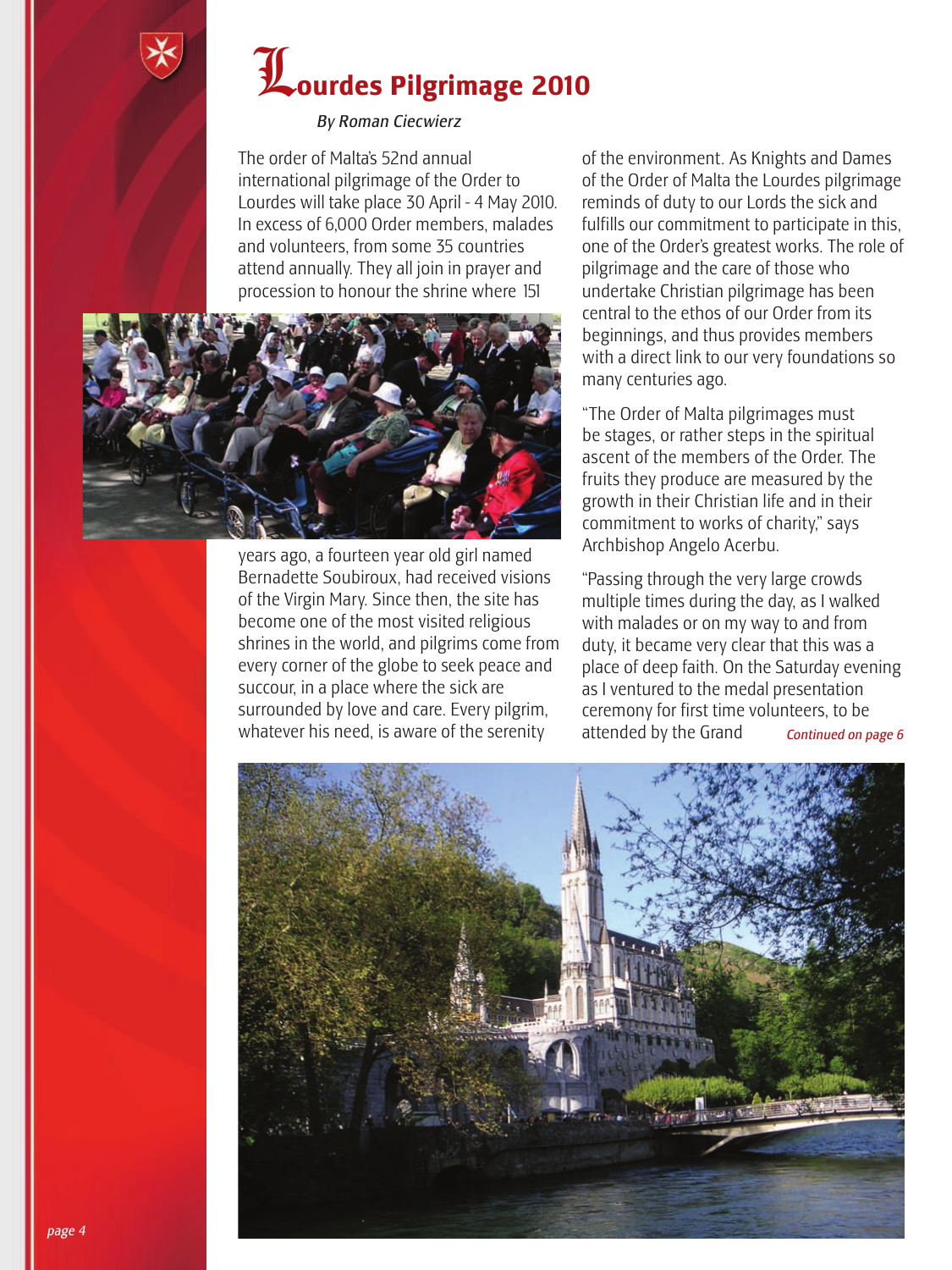![](_page_3_Picture_0.jpeg)

# L**ourdes Pilgrimage <sup>2010</sup>**

*By Roman Ciecwierz*

The order of Malta's 52nd annual international pilgrimage of the Order to Lourdes will take place 30 April - 4 May 2010. In excess of 6,000 Order members, malades and volunteers, from some 35 countries attend annually. They all join in prayer and procession to honour the shrine where 151

![](_page_3_Picture_4.jpeg)

years ago, a fourteen year old girl named Bernadette Soubiroux, had received visions of the Virgin Mary. Since then, the site has become one of the most visited religious shrines in the world, and pilgrims come from every corner of the globe to seek peace and succour, in a place where the sick are surrounded by love and care. Every pilgrim, whatever his need, is aware of the serenity

of the environment. As Knights and Dames of the Order of Malta the Lourdes pilgrimage reminds of duty to our Lords the sick and fulfills our commitment to participate in this, one of the Order's greatest works. The role of pilgrimage and the care of those who undertake Christian pilgrimage has been central to the ethos of our Order from its beginnings, and thus provides members with a direct link to our very foundations so many centuries ago.

"The Order of Malta pilgrimages must be stages, or rather steps in the spiritual ascent of the members of the Order. The fruits they produce are measured by the growth in their Christian life and in their commitment to works of charity," says Archbishop Angelo Acerbu.

"Passing through the very large crowds multiple times during the day, as I walked with malades or on my way to and from duty, it became very clear that this was a place of deep faith. On the Saturday evening as I ventured to the medal presentation ceremony for first time volunteers, to be attended by the Grand *Continued on page 6*

![](_page_3_Picture_9.jpeg)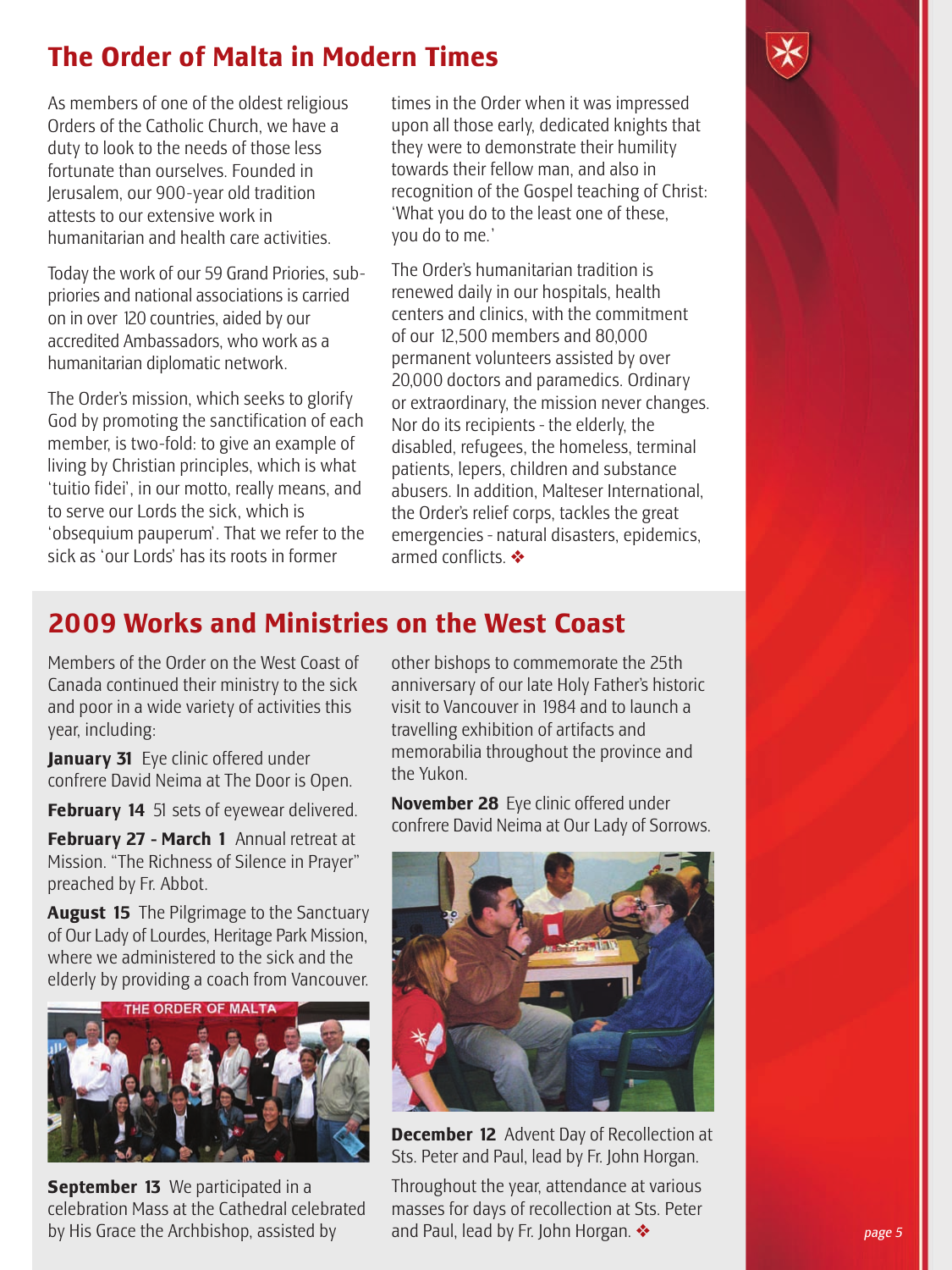### **The Order of Malta in Modern Times**

As members of one of the oldest religious Orders of the Catholic Church, we have a duty to look to the needs of those less fortunate than ourselves. Founded in Jerusalem, our 900-year old tradition attests to our extensive work in humanitarian and health care activities.

Today the work of our 59 Grand Priories, subpriories and national associations is carried on in over 120 countries, aided by our accredited Ambassadors, who work as a humanitarian diplomatic network.

The Order's mission, which seeks to glorify God by promoting the sanctification of each member, is two-fold: to give an example of living by Christian principles, which is what 'tuitio fidei', in our motto, really means, and to serve our Lords the sick, which is 'obsequium pauperum'. That we refer to the sick as 'our Lords' has its roots in former

times in the Order when it was impressed upon all those early, dedicated knights that they were to demonstrate their humility towards their fellow man, and also in recognition of the Gospel teaching of Christ: 'What you do to the least one of these, you do to me.'

The Order's humanitarian tradition is renewed daily in our hospitals, health centers and clinics, with the commitment of our 12,500 members and 80,000 permanent volunteers assisted by over 20,000 doctors and paramedics. Ordinary or extraordinary, the mission never changes. Nor do its recipients - the elderly, the disabled, refugees, the homeless, terminal patients, lepers, children and substance abusers. In addition, Malteser International, the Order's relief corps, tackles the great emergencies - natural disasters, epidemics, armed conflicts. ❖

### **2009 Works and Ministries on the West Coast**

Members of the Order on the West Coast of Canada continued their ministry to the sick and poor in a wide variety of activities this year, including:

**January 31** Eye clinic offered under confrere David Neima at The Door is Open.

**February 14** 51 sets of eyewear delivered.

**February 27 - March 1** Annual retreat at Mission. "The Richness of Silence in Prayer" preached by Fr. Abbot.

**August 15** The Pilgrimage to the Sanctuary of Our Lady of Lourdes, Heritage Park Mission, where we administered to the sick and the elderly by providing a coach from Vancouver.

![](_page_4_Picture_12.jpeg)

**September 13** We participated in a celebration Mass at the Cathedral celebrated by His Grace the Archbishop, assisted by

other bishops to commemorate the 25th anniversary of our late Holy Father's historic visit to Vancouver in 1984 and to launch a travelling exhibition of artifacts and memorabilia throughout the province and the Yukon.

**November 28** Eye clinic offered under confrere David Neima at Our Lady of Sorrows.

![](_page_4_Picture_16.jpeg)

**December 12** Advent Day of Recollection at Sts. Peter and Paul, lead by Fr. John Horgan.

Throughout the year, attendance at various masses for days of recollection at Sts. Peter and Paul, lead by Fr. John Horgan. ❖